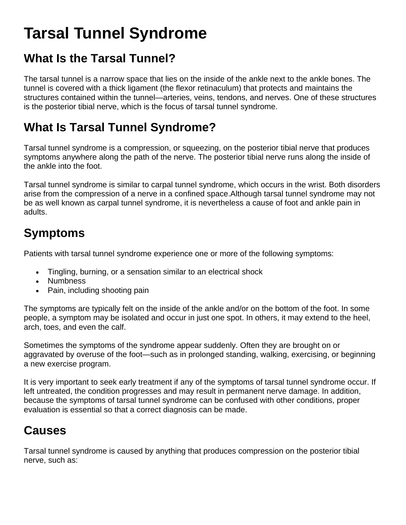# **Tarsal Tunnel Syndrome**

## **What Is the Tarsal Tunnel?**

The tarsal tunnel is a narrow space that lies on the inside of the ankle next to the ankle bones. The tunnel is covered with a thick ligament (the flexor retinaculum) that protects and maintains the structures contained within the tunnel—arteries, veins, tendons, and nerves. One of these structures is the posterior tibial nerve, which is the focus of tarsal tunnel syndrome.

## **What Is Tarsal Tunnel Syndrome?**

Tarsal tunnel syndrome is a compression, or squeezing, on the posterior tibial nerve that produces symptoms anywhere along the path of the nerve. The posterior tibial nerve runs along the inside of the ankle into the foot.

Tarsal tunnel syndrome is similar to carpal tunnel syndrome, which occurs in the wrist. Both disorders arise from the compression of a nerve in a confined space.Although tarsal tunnel syndrome may not be as well known as carpal tunnel syndrome, it is nevertheless a cause of foot and ankle pain in adults.

## **Symptoms**

Patients with tarsal tunnel syndrome experience one or more of the following symptoms:

- Tingling, burning, or a sensation similar to an electrical shock
- Numbness
- Pain, including shooting pain

The symptoms are typically felt on the inside of the ankle and/or on the bottom of the foot. In some people, a symptom may be isolated and occur in just one spot. In others, it may extend to the heel, arch, toes, and even the calf.

Sometimes the symptoms of the syndrome appear suddenly. Often they are brought on or aggravated by overuse of the foot—such as in prolonged standing, walking, exercising, or beginning a new exercise program.

It is very important to seek early treatment if any of the symptoms of tarsal tunnel syndrome occur. If left untreated, the condition progresses and may result in permanent nerve damage. In addition, because the symptoms of tarsal tunnel syndrome can be confused with other conditions, proper evaluation is essential so that a correct diagnosis can be made.

## **Causes**

Tarsal tunnel syndrome is caused by anything that produces compression on the posterior tibial nerve, such as: